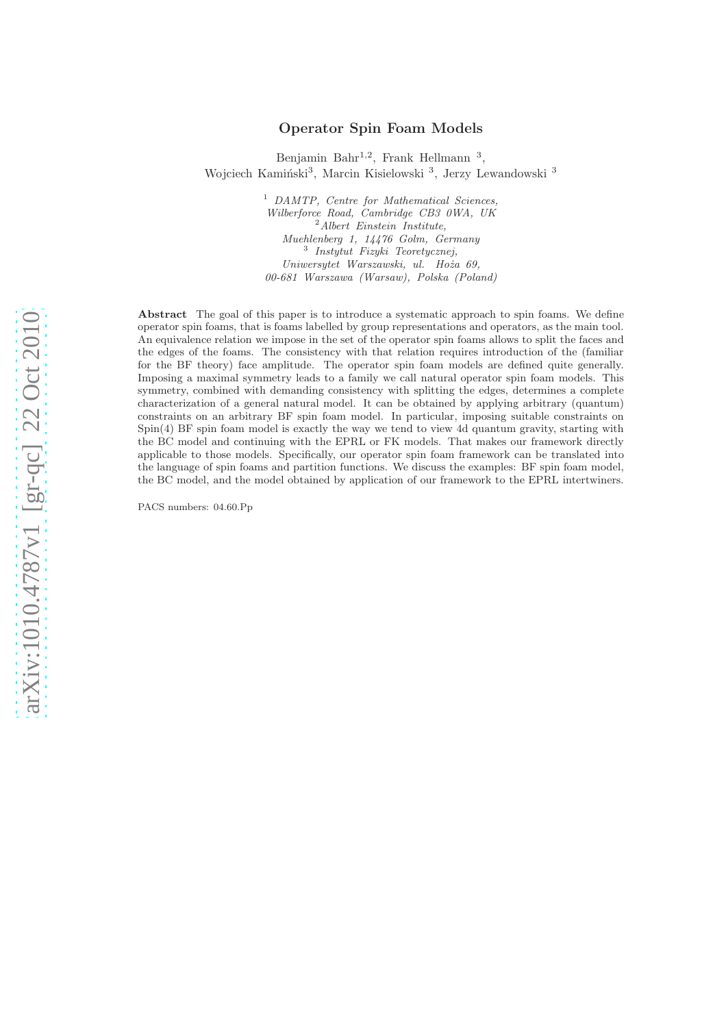# Operator Spin Foam Models

Benjamin Bahr<sup>1,2</sup>, Frank Hellmann<sup>3</sup>, Wojciech Kamiński<sup>3</sup>, Marcin Kisielowski<sup>3</sup>, Jerzy Lewandowski<sup>3</sup>

> <sup>1</sup> *DAMTP, Centre for Mathematical Sciences, Wilberforce Road, Cambridge CB3 0WA, UK* <sup>2</sup>*Albert Einstein Institute, Muehlenberg 1, 14476 Golm, Germany* 3 *Instytut Fizyki Teoretycznej, Uniwersytet Warszawski, ul. Ho˙za 69, 00-681 Warszawa (Warsaw), Polska (Poland)*

Abstract The goal of this paper is to introduce a systematic approach to spin foams. We define operator spin foams, that is foams labelled by group representations and operators, as the main tool. An equivalence relation we impose in the set of the operator spin foams allows to split the faces and the edges of the foams. The consistency with that relation requires introduction of the (familiar for the BF theory) face amplitude. The operator spin foam models are defined quite generally. Imposing a maximal symmetry leads to a family we call natural operator spin foam models. This symmetry, combined with demanding consistency with splitting the edges, determines a complete characterization of a general natural model. It can be obtained by applying arbitrary (quantum) constraints on an arbitrary BF spin foam model. In particular, imposing suitable constraints on Spin(4) BF spin foam model is exactly the way we tend to view 4d quantum gravity, starting with the BC model and continuing with the EPRL or FK models. That makes our framework directly applicable to those models. Specifically, our operator spin foam framework can be translated into the language of spin foams and partition functions. We discuss the examples: BF spin foam model, the BC model, and the model obtained by application of our framework to the EPRL intertwiners.

PACS numbers: 04.60.Pp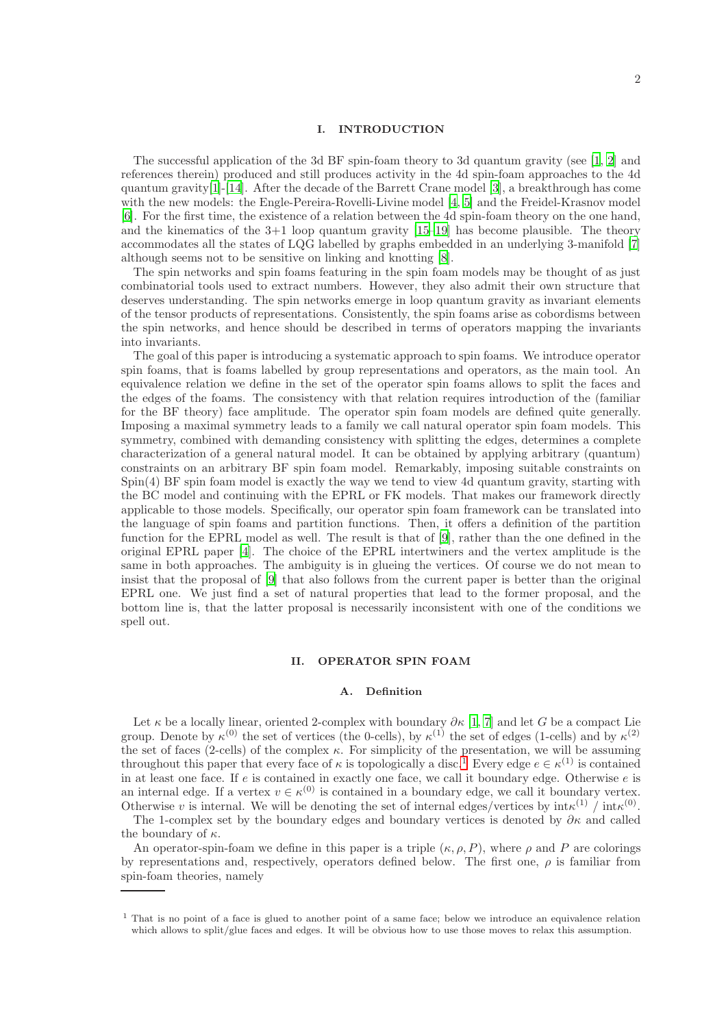### I. INTRODUCTION

The successful application of the 3d BF spin-foam theory to 3d quantum gravity (see [\[1,](#page-17-0) [2\]](#page-17-1) and references therein) produced and still produces activity in the 4d spin-foam approaches to the 4d quantum gravity[\[1\]](#page-17-0)-[\[14\]](#page-18-0). After the decade of the Barrett Crane model [\[3\]](#page-17-2), a breakthrough has come with the new models: the Engle-Pereira-Rovelli-Livine model [\[4,](#page-17-3) [5](#page-17-4)] and the Freidel-Krasnov model [\[6\]](#page-17-5). For the first time, the existence of a relation between the 4d spin-foam theory on the one hand, and the kinematics of the  $3+1$  loop quantum gravity  $[15-19]$  has become plausible. The theory accommodates all the states of LQG labelled by graphs embedded in an underlying 3-manifold [\[7](#page-17-6)] although seems not to be sensitive on linking and knotting [\[8](#page-17-7)].

The spin networks and spin foams featuring in the spin foam models may be thought of as just combinatorial tools used to extract numbers. However, they also admit their own structure that deserves understanding. The spin networks emerge in loop quantum gravity as invariant elements of the tensor products of representations. Consistently, the spin foams arise as cobordisms between the spin networks, and hence should be described in terms of operators mapping the invariants into invariants.

The goal of this paper is introducing a systematic approach to spin foams. We introduce operator spin foams, that is foams labelled by group representations and operators, as the main tool. An equivalence relation we define in the set of the operator spin foams allows to split the faces and the edges of the foams. The consistency with that relation requires introduction of the (familiar for the BF theory) face amplitude. The operator spin foam models are defined quite generally. Imposing a maximal symmetry leads to a family we call natural operator spin foam models. This symmetry, combined with demanding consistency with splitting the edges, determines a complete characterization of a general natural model. It can be obtained by applying arbitrary (quantum) constraints on an arbitrary BF spin foam model. Remarkably, imposing suitable constraints on Spin(4) BF spin foam model is exactly the way we tend to view 4d quantum gravity, starting with the BC model and continuing with the EPRL or FK models. That makes our framework directly applicable to those models. Specifically, our operator spin foam framework can be translated into the language of spin foams and partition functions. Then, it offers a definition of the partition function for the EPRL model as well. The result is that of [\[9](#page-18-3)], rather than the one defined in the original EPRL paper [\[4\]](#page-17-3). The choice of the EPRL intertwiners and the vertex amplitude is the same in both approaches. The ambiguity is in glueing the vertices. Of course we do not mean to insist that the proposal of [\[9\]](#page-18-3) that also follows from the current paper is better than the original EPRL one. We just find a set of natural properties that lead to the former proposal, and the bottom line is, that the latter proposal is necessarily inconsistent with one of the conditions we spell out.

## II. OPERATOR SPIN FOAM

### <span id="page-1-1"></span>A. Definition

Let  $\kappa$  be a locally linear, oriented 2-complex with boundary  $\partial \kappa$  [\[1](#page-17-0), [7](#page-17-6)] and let G be a compact Lie group. Denote by  $\kappa^{(0)}$  the set of vertices (the 0-cells), by  $\kappa^{(1)}$  the set of edges (1-cells) and by  $\kappa^{(2)}$ the set of faces (2-cells) of the complex  $\kappa$ . For simplicity of the presentation, we will be assuming throughout this paper that every face of  $\kappa$  is topologically a disc.<sup>[1](#page-1-0)</sup> Every edge  $e \in \kappa^{(1)}$  is contained in at least one face. If  $e$  is contained in exactly one face, we call it boundary edge. Otherwise  $e$  is an internal edge. If a vertex  $v \in \kappa^{(0)}$  is contained in a boundary edge, we call it boundary vertex. Otherwise v is internal. We will be denoting the set of internal edges/vertices by  $int \kappa^{(1)} / int \kappa^{(0)}$ .

The 1-complex set by the boundary edges and boundary vertices is denoted by  $\partial \kappa$  and called the boundary of  $\kappa$ .

An operator-spin-foam we define in this paper is a triple  $(\kappa, \rho, P)$ , where  $\rho$  and P are colorings by representations and, respectively, operators defined below. The first one,  $\rho$  is familiar from spin-foam theories, namely

<span id="page-1-0"></span><sup>&</sup>lt;sup>1</sup> That is no point of a face is glued to another point of a same face; below we introduce an equivalence relation which allows to split/glue faces and edges. It will be obvious how to use those moves to relax this assumption.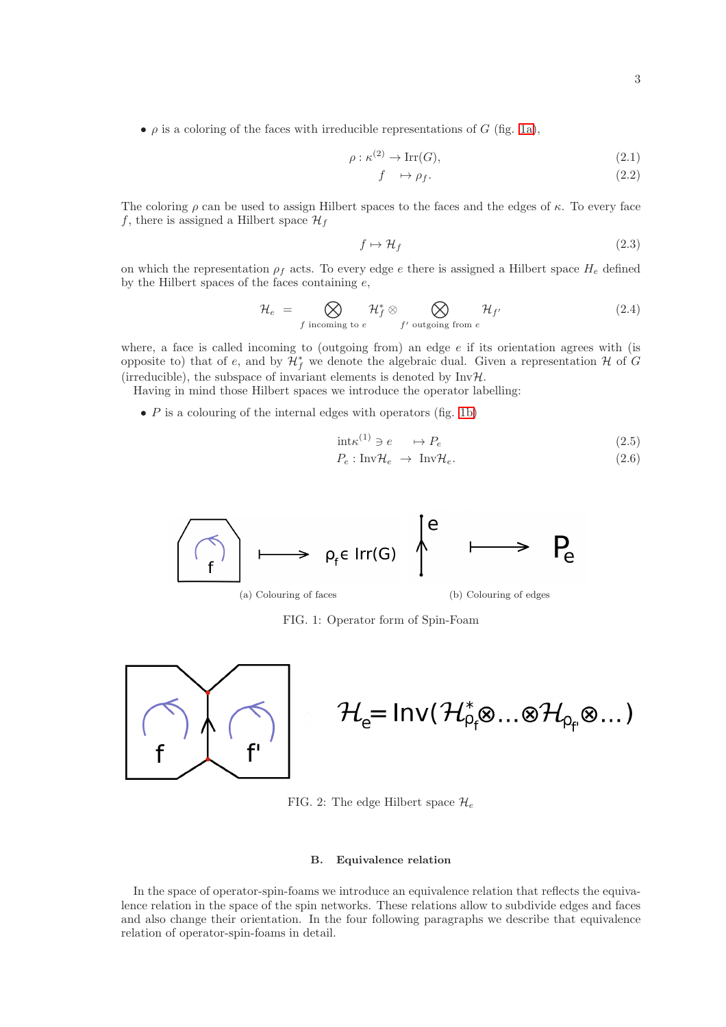•  $\rho$  is a coloring of the faces with irreducible representations of G (fig. [1a\)](#page-2-0),

$$
\rho: \kappa^{(2)} \to \text{Irr}(G),\tag{2.1}
$$

$$
f \quad \mapsto \rho_f. \tag{2.2}
$$

The coloring  $\rho$  can be used to assign Hilbert spaces to the faces and the edges of  $\kappa$ . To every face f, there is assigned a Hilbert space  $\mathcal{H}_f$ 

$$
f \mapsto \mathcal{H}_f \tag{2.3}
$$

on which the representation  $\rho_f$  acts. To every edge e there is assigned a Hilbert space  $H_e$  defined by the Hilbert spaces of the faces containing  $e$ ,

<span id="page-2-2"></span>
$$
\mathcal{H}_e = \bigotimes_{f \text{ incoming to } e} \mathcal{H}_f^* \otimes \bigotimes_{f' \text{ outgoing from } e} \mathcal{H}_{f'} \tag{2.4}
$$

where, a face is called incoming to (outgoing from) an edge  $e$  if its orientation agrees with (is opposite to) that of e, and by  $\mathcal{H}_f^*$  we denote the algebraic dual. Given a representation H of G (irreducible), the subspace of invariant elements is denoted by  $\text{InvH}.$ 

Having in mind those Hilbert spaces we introduce the operator labelling:

•  $P$  is a colouring of the internal edges with operators (fig. [1b\)](#page-2-1)

<span id="page-2-4"></span>
$$
int \kappa^{(1)} \ni e \longrightarrow P_e \tag{2.5}
$$

$$
P_e: \text{InvH}_e \to \text{InvH}_e. \tag{2.6}
$$

<span id="page-2-0"></span>

<span id="page-2-1"></span>FIG. 1: Operator form of Spin-Foam





FIG. 2: The edge Hilbert space  $\mathcal{H}_e$ 

### <span id="page-2-3"></span>B. Equivalence relation

In the space of operator-spin-foams we introduce an equivalence relation that reflects the equivalence relation in the space of the spin networks. These relations allow to subdivide edges and faces and also change their orientation. In the four following paragraphs we describe that equivalence relation of operator-spin-foams in detail.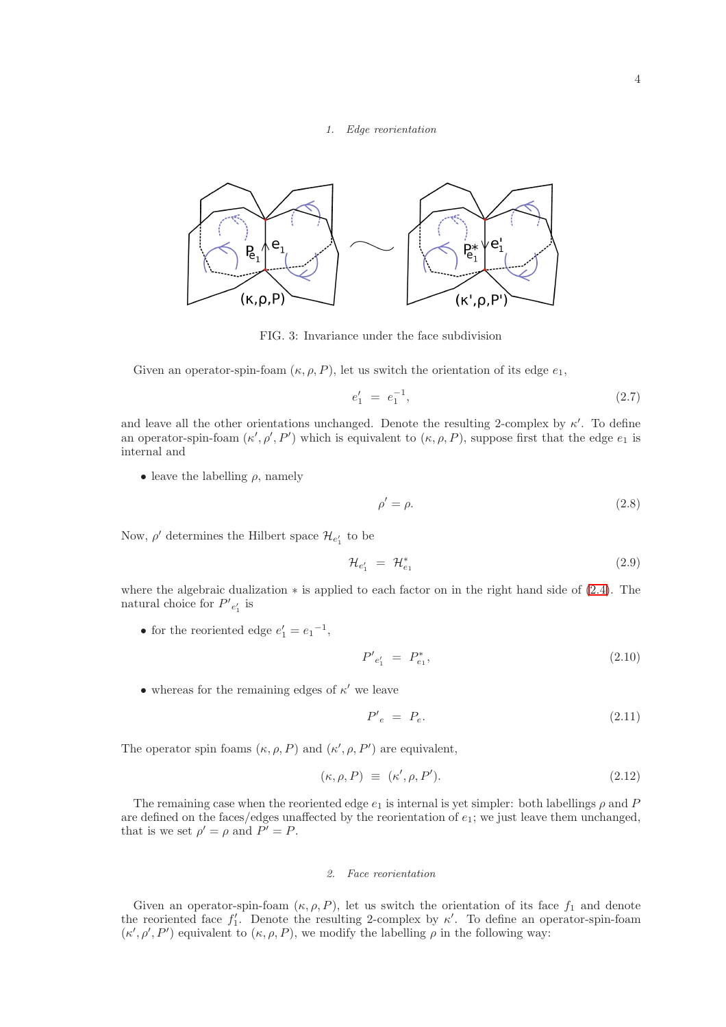#### <span id="page-3-0"></span>*1. Edge reorientation*



FIG. 3: Invariance under the face subdivision

Given an operator-spin-foam  $(\kappa, \rho, P)$ , let us switch the orientation of its edge  $e_1$ ,

$$
e_1' = e_1^{-1}, \tag{2.7}
$$

and leave all the other orientations unchanged. Denote the resulting 2-complex by  $\kappa'$ . To define an operator-spin-foam  $(\kappa', \rho', P')$  which is equivalent to  $(\kappa, \rho, P)$ , suppose first that the edge  $e_1$  is internal and

• leave the labelling  $\rho$ , namely

$$
\rho' = \rho. \tag{2.8}
$$

Now,  $\rho'$  determines the Hilbert space  $\mathcal{H}_{e'_1}$  to be

$$
\mathcal{H}_{e'_1} = \mathcal{H}_{e_1}^* \tag{2.9}
$$

where the algebraic dualization ∗ is applied to each factor on in the right hand side of [\(2.4\)](#page-2-2). The natural choice for  $P'_{e'_1}$  is

• for the reoriented edge  $e'_1 = e_1^{-1}$ ,

$$
P'_{e'_1} = P_{e_1}^*,\tag{2.10}
$$

• whereas for the remaining edges of  $\kappa'$  we leave

$$
P'_{e} = P_{e}. \tag{2.11}
$$

The operator spin foams  $(\kappa, \rho, P)$  and  $(\kappa', \rho, P')$  are equivalent,

$$
(\kappa, \rho, P) \equiv (\kappa', \rho, P'). \tag{2.12}
$$

The remaining case when the reoriented edge  $e_1$  is internal is yet simpler: both labellings  $\rho$  and P are defined on the faces/edges unaffected by the reorientation of  $e_1$ ; we just leave them unchanged, that is we set  $\rho' = \rho$  and  $P' = P$ .

### <span id="page-3-1"></span>*2. Face reorientation*

Given an operator-spin-foam  $(\kappa, \rho, P)$ , let us switch the orientation of its face  $f_1$  and denote the reoriented face  $f'_1$ . Denote the resulting 2-complex by  $\kappa'$ . To define an operator-spin-foam  $(\kappa', \rho', P')$  equivalent to  $(\kappa, \rho, P)$ , we modify the labelling  $\rho$  in the following way: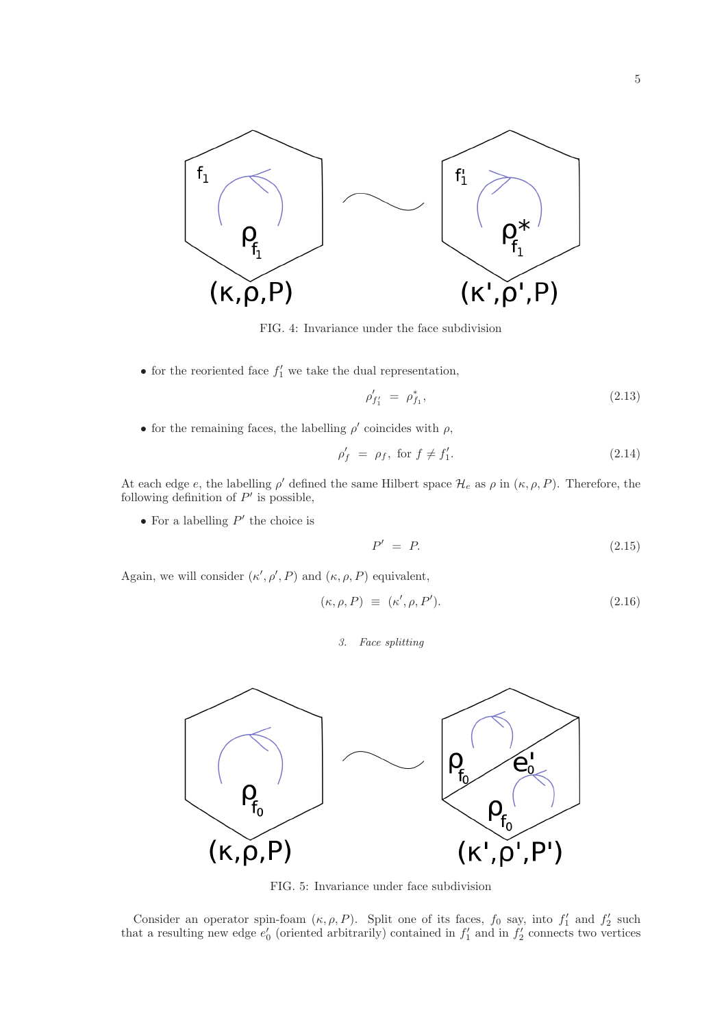

FIG. 4: Invariance under the face subdivision

 $\bullet$  for the reoriented face  $f'_1$  we take the dual representation,

$$
\rho'_{f'_1} = \rho^*_{f_1},\tag{2.13}
$$

• for the remaining faces, the labelling  $\rho'$  coincides with  $\rho$ ,

$$
\rho'_f = \rho_f, \text{ for } f \neq f'_1. \tag{2.14}
$$

At each edge e, the labelling  $\rho'$  defined the same Hilbert space  $\mathcal{H}_e$  as  $\rho$  in  $(\kappa, \rho, P)$ . Therefore, the following definition of  $P'$  is possible,

• For a labelling  $P'$  the choice is

$$
P' = P. \tag{2.15}
$$

Again, we will consider  $(\kappa', \rho', P)$  and  $(\kappa, \rho, P)$  equivalent,

$$
(\kappa, \rho, P) \equiv (\kappa', \rho, P'). \tag{2.16}
$$

<span id="page-4-0"></span>*3. Face splitting*



FIG. 5: Invariance under face subdivision

Consider an operator spin-foam  $(\kappa, \rho, P)$ . Split one of its faces,  $f_0$  say, into  $f'_1$  and  $f'_2$  such that a resulting new edge  $e'_0$  (oriented arbitrarily) contained in  $f'_1$  and in  $f'_2$  connects two vertices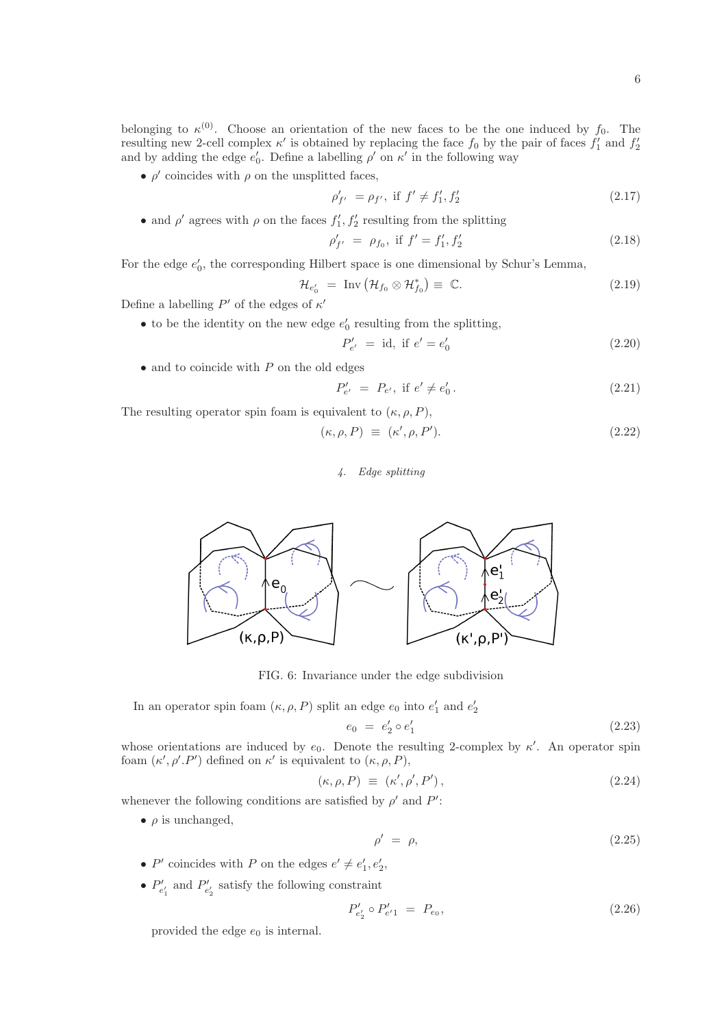belonging to  $\kappa^{(0)}$ . Choose an orientation of the new faces to be the one induced by  $f_0$ . The resulting new 2-cell complex  $\kappa'$  is obtained by replacing the face  $f_0$  by the pair of faces  $f'_1$  and  $f'_2$ and by adding the edge  $e'_0$ . Define a labelling  $\rho'$  on  $\kappa'$  in the following way

•  $\rho'$  coincides with  $\rho$  on the unsplitted faces,

$$
\rho'_{f'} = \rho_{f'}, \text{ if } f' \neq f'_1, f'_2 \tag{2.17}
$$

• and  $\rho'$  agrees with  $\rho$  on the faces  $f'_1, f'_2$  resulting from the splitting

$$
\rho'_{f'} = \rho_{f_0}, \text{ if } f' = f'_1, f'_2 \tag{2.18}
$$

For the edge  $e'_0$ , the corresponding Hilbert space is one dimensional by Schur's Lemma,

$$
\mathcal{H}_{e'_0} = \text{Inv}(\mathcal{H}_{f_0} \otimes \mathcal{H}_{f_0}^*) \equiv \mathbb{C}.
$$
\n(2.19)

Define a labelling  $P'$  of the edges of  $\kappa'$ 

 $\bullet$  to be the identity on the new edge  $e'_0$  resulting from the splitting,

$$
P'_{e'} = id, \text{ if } e' = e'_0 \tag{2.20}
$$

 $\bullet$  and to coincide with  $P$  on the old edges

$$
P'_{e'} = P_{e'}, \text{ if } e' \neq e'_0. \tag{2.21}
$$

The resulting operator spin foam is equivalent to  $(\kappa, \rho, P)$ ,

$$
(\kappa, \rho, P) \equiv (\kappa', \rho, P'). \tag{2.22}
$$

# <span id="page-5-0"></span>*4. Edge splitting*



FIG. 6: Invariance under the edge subdivision

In an operator spin foam  $(\kappa, \rho, P)$  split an edge  $e_0$  into  $e'_1$  and  $e'_2$ 

$$
e_0 = e'_2 \circ e'_1 \tag{2.23}
$$

whose orientations are induced by  $e_0$ . Denote the resulting 2-complex by  $\kappa'$ . An operator spin foam  $(\kappa', \rho'.P')$  defined on  $\kappa'$  is equivalent to  $(\kappa, \rho, P)$ ,

$$
(\kappa, \rho, P) \equiv (\kappa', \rho', P'), \qquad (2.24)
$$

whenever the following conditions are satisfied by  $\rho'$  and  $P'$ :

 $\bullet$   $\rho$  is unchanged,

$$
\rho' = \rho, \tag{2.25}
$$

- P' coincides with P on the edges  $e' \neq e'_1, e'_2$ ,
- $P'_{e'_1}$  and  $P'_{e'_2}$  satisfy the following constraint

$$
P'_{e'_2} \circ P'_{e'1} = P_{e_0}, \tag{2.26}
$$

provided the edge  $e_0$  is internal.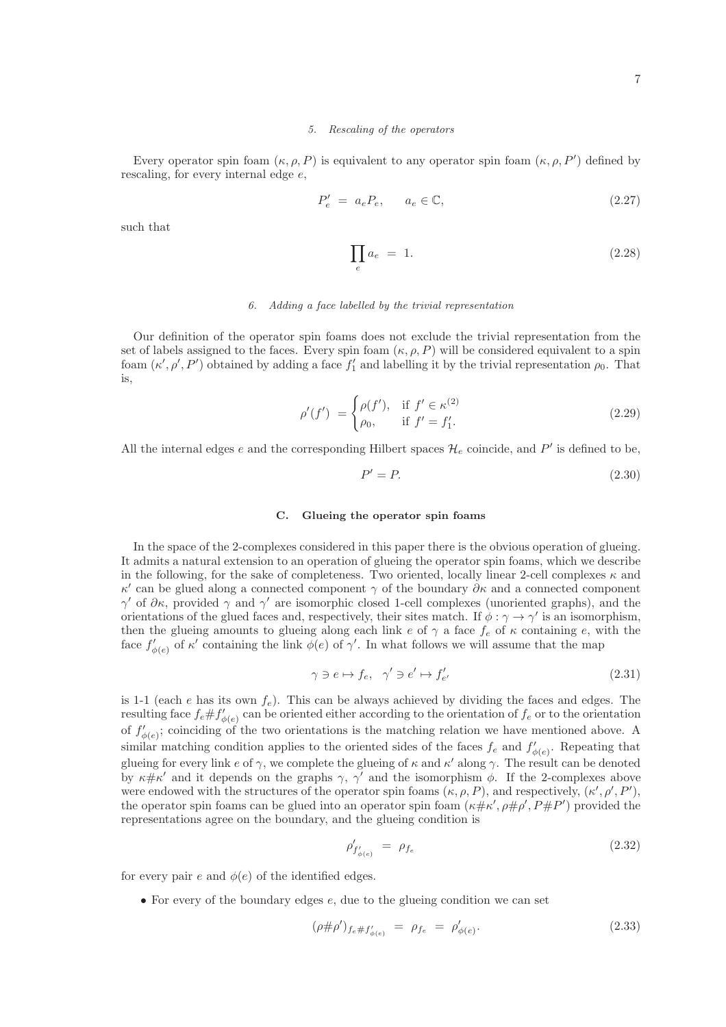### *5. Rescaling of the operators*

Every operator spin foam  $(\kappa, \rho, P)$  is equivalent to any operator spin foam  $(\kappa, \rho, P')$  defined by rescaling, for every internal edge e,

$$
P'_e = a_e P_e, \qquad a_e \in \mathbb{C}, \tag{2.27}
$$

such that

$$
\prod_{e} a_e = 1. \tag{2.28}
$$

## *6. Adding a face labelled by the trivial representation*

Our definition of the operator spin foams does not exclude the trivial representation from the set of labels assigned to the faces. Every spin foam  $(\kappa, \rho, P)$  will be considered equivalent to a spin foam  $(\kappa', \rho', P')$  obtained by adding a face  $f'_1$  and labelling it by the trivial representation  $\rho_0$ . That is,

$$
\rho'(f') = \begin{cases} \rho(f'), & \text{if } f' \in \kappa^{(2)} \\ \rho_0, & \text{if } f' = f'_1. \end{cases}
$$
\n(2.29)

All the internal edges e and the corresponding Hilbert spaces  $\mathcal{H}_e$  coincide, and  $P'$  is defined to be,

$$
P' = P.\tag{2.30}
$$

### <span id="page-6-0"></span>C. Glueing the operator spin foams

In the space of the 2-complexes considered in this paper there is the obvious operation of glueing. It admits a natural extension to an operation of glueing the operator spin foams, which we describe in the following, for the sake of completeness. Two oriented, locally linear 2-cell complexes  $\kappa$  and κ ′ can be glued along a connected component γ of the boundary ∂κ and a connected component  $\gamma'$  of  $\partial \kappa$ , provided  $\gamma$  and  $\gamma'$  are isomorphic closed 1-cell complexes (unoriented graphs), and the orientations of the glued faces and, respectively, their sites match. If  $\phi : \gamma \to \gamma'$  is an isomorphism, then the glueing amounts to glueing along each link e of  $\gamma$  a face  $f_e$  of  $\kappa$  containing e, with the face  $f'_{\phi(e)}$  of  $\kappa'$  containing the link  $\phi(e)$  of  $\gamma'$ . In what follows we will assume that the map

$$
\gamma \ni e \mapsto f_e, \quad \gamma' \ni e' \mapsto f'_{e'}
$$
\n
$$
(2.31)
$$

is 1-1 (each e has its own  $f_e$ ). This can be always achieved by dividing the faces and edges. The resulting face  $f_e \# f'_{\phi(e)}$  can be oriented either according to the orientation of  $f_e$  or to the orientation of  $f'_{\phi(e)}$ ; coinciding of the two orientations is the matching relation we have mentioned above. A similar matching condition applies to the oriented sides of the faces  $f_e$  and  $f'_{\phi(e)}$ . Repeating that glueing for every link e of  $\gamma$ , we complete the glueing of  $\kappa$  and  $\kappa'$  along  $\gamma$ . The result can be denoted by  $\kappa \# \kappa'$  and it depends on the graphs  $\gamma$ ,  $\gamma'$  and the isomorphism  $\phi$ . If the 2-complexes above were endowed with the structures of the operator spin foams  $(\kappa, \rho, P)$ , and respectively,  $(\kappa', \rho', P')$ , the operator spin foams can be glued into an operator spin foam  $(\kappa \# \kappa', \rho \# \rho', P \# P')$  provided the representations agree on the boundary, and the glueing condition is

$$
\rho'_{f'_{\phi(e)}} = \rho_{f_e} \tag{2.32}
$$

for every pair e and  $\phi(e)$  of the identified edges.

• For every of the boundary edges  $e$ , due to the glueing condition we can set

$$
(\rho \# \rho')_{f_e \# f'_{\phi(e)}} = \rho_{f_e} = \rho'_{\phi(e)}.
$$
\n(2.33)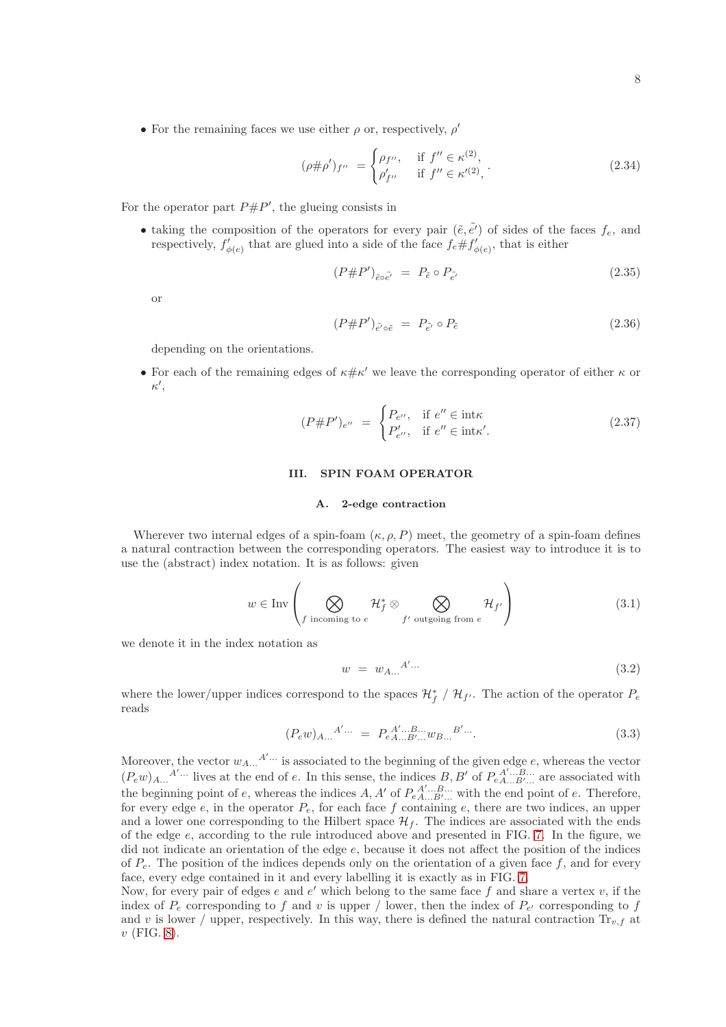• For the remaining faces we use either  $\rho$  or, respectively,  $\rho'$ 

$$
(\rho \# \rho')_{f''} = \begin{cases} \rho_{f''}, & \text{if } f'' \in \kappa^{(2)}, \\ \rho'_{f''} & \text{if } f'' \in \kappa'^{(2)}, \end{cases} (2.34)
$$

For the operator part  $P \# P'$ , the glueing consists in

• taking the composition of the operators for every pair  $(\tilde{e}, \tilde{e'})$  of sides of the faces  $f_e$ , and respectively,  $f'_{\phi(e)}$  that are glued into a side of the face  $f_e \# f'_{\phi(e)}$ , that is either

$$
(P \# P')_{\tilde{e} \circ \tilde{e'}} = P_{\tilde{e}} \circ P_{\tilde{e'}} \tag{2.35}
$$

or

$$
(P \# P')_{\tilde{e}' \circ \tilde{e}} = P_{\tilde{e}'} \circ P_{\tilde{e}} \tag{2.36}
$$

depending on the orientations.

• For each of the remaining edges of  $\kappa \# \kappa'$  we leave the corresponding operator of either  $\kappa$  or  $\kappa',$ 

$$
(P \# P')_{e''} = \begin{cases} P_{e''}, & \text{if } e'' \in \text{int}\kappa \\ P'_{e''}, & \text{if } e'' \in \text{int}\kappa'. \end{cases} \tag{2.37}
$$

## III. SPIN FOAM OPERATOR

### <span id="page-7-0"></span>A. 2-edge contraction

Wherever two internal edges of a spin-foam  $(\kappa, \rho, P)$  meet, the geometry of a spin-foam defines a natural contraction between the corresponding operators. The easiest way to introduce it is to use the (abstract) index notation. It is as follows: given

$$
w \in \text{Inv}\left(\bigotimes_{f \text{ incoming to } e} \mathcal{H}_f^* \otimes \bigotimes_{f' \text{ outgoing from } e} \mathcal{H}_{f'}\right) \tag{3.1}
$$

we denote it in the index notation as

$$
w = w_{A...}^{A'...} \tag{3.2}
$$

where the lower/upper indices correspond to the spaces  $\mathcal{H}_f^*$  /  $\mathcal{H}_{f'}$ . The action of the operator  $P_e$ reads

$$
(P_e w)_{A...}^{A'...} = P_{eA...B'...}^{A'...B...} w_{B...}^{B'...}.
$$
\n(3.3)

Moreover, the vector  $w_{A...}^{A'...}$  is associated to the beginning of the given edge e, whereas the vector  $(P_e w)_{A...}$ <sup>A'</sup>... lives at the end of e. In this sense, the indices B, B' of  $P_{eA...B'...}$ <sup>A'...B</sup>... are associated with the beginning point of e, whereas the indices  $A, A'$  of  $P_{eA...B'...}^{A'...B...}$  with the end point of e. Therefore, for every edge  $e$ , in the operator  $P_e$ , for each face f containing  $e$ , there are two indices, an upper and a lower one corresponding to the Hilbert space  $\mathcal{H}_f$ . The indices are associated with the ends of the edge  $e$ , according to the rule introduced above and presented in FIG. [7.](#page-8-0) In the figure, we did not indicate an orientation of the edge  $e$ , because it does not affect the position of the indices of  $P_e$ . The position of the indices depends only on the orientation of a given face f, and for every face, every edge contained in it and every labelling it is exactly as in FIG. [7.](#page-8-0)

Now, for every pair of edges  $e$  and  $e'$  which belong to the same face  $f$  and share a vertex  $v$ , if the index of  $P_e$  corresponding to f and v is upper / lower, then the index of  $P_{e'}$  corresponding to f and v is lower / upper, respectively. In this way, there is defined the natural contraction  $\text{Tr}_{v,f}$  at  $v$  (FIG. [8\)](#page-8-1).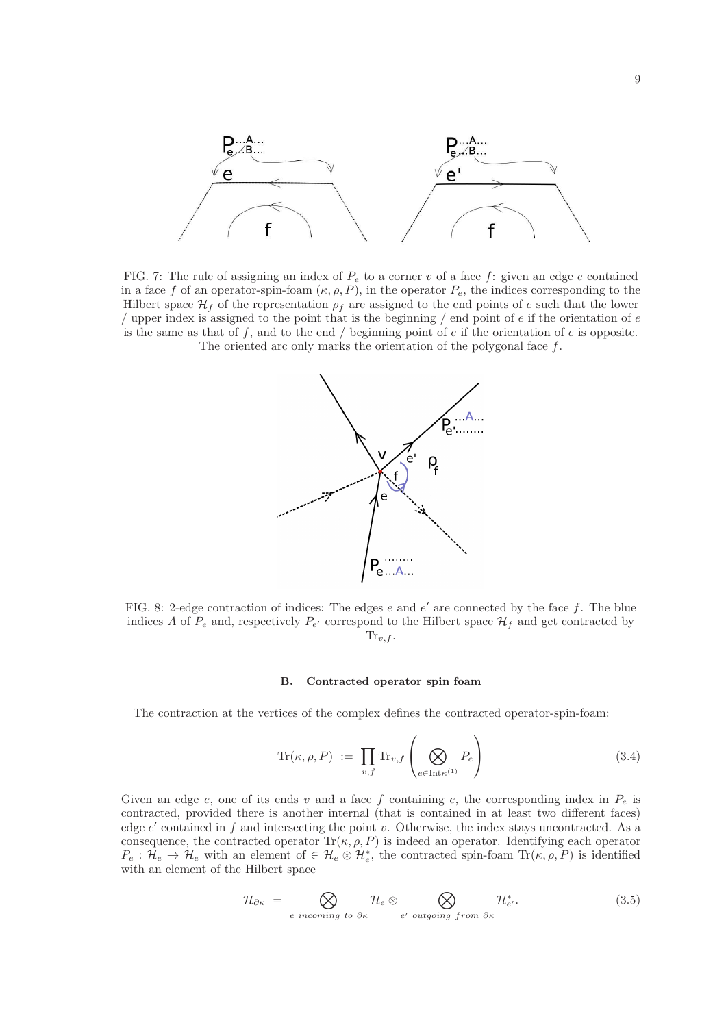<span id="page-8-0"></span>

<span id="page-8-1"></span>FIG. 7: The rule of assigning an index of  $P_e$  to a corner v of a face f: given an edge e contained in a face f of an operator-spin-foam  $(\kappa, \rho, P)$ , in the operator  $P_e$ , the indices corresponding to the Hilbert space  $\mathcal{H}_f$  of the representation  $\rho_f$  are assigned to the end points of e such that the lower / upper index is assigned to the point that is the beginning / end point of  $e$  if the orientation of  $e$ is the same as that of  $f$ , and to the end  $/$  beginning point of  $e$  if the orientation of  $e$  is opposite. The oriented arc only marks the orientation of the polygonal face f.



FIG. 8: 2-edge contraction of indices: The edges  $e$  and  $e'$  are connected by the face  $f$ . The blue indices A of  $P_e$  and, respectively  $P_{e'}$  correspond to the Hilbert space  $\mathcal{H}_f$  and get contracted by  $\text{Tr}_{v,f}.$ 

#### B. Contracted operator spin foam

The contraction at the vertices of the complex defines the contracted operator-spin-foam:

<span id="page-8-2"></span>
$$
\text{Tr}(\kappa, \rho, P) := \prod_{v, f} \text{Tr}_{v, f} \left( \bigotimes_{e \in \text{Int}\kappa^{(1)}} P_e \right) \tag{3.4}
$$

Given an edge e, one of its ends v and a face f containing e, the corresponding index in  $P_e$  is contracted, provided there is another internal (that is contained in at least two different faces) edge  $e'$  contained in  $f$  and intersecting the point  $v$ . Otherwise, the index stays uncontracted. As a consequence, the contracted operator  $\text{Tr}(\kappa, \rho, P)$  is indeed an operator. Identifying each operator  $P_e: \mathcal{H}_e \to \mathcal{H}_e$  with an element of  $\in \mathcal{H}_e \otimes \mathcal{H}_e^*$ , the contracted spin-foam  $\text{Tr}(\kappa, \rho, P)$  is identified with an element of the Hilbert space

$$
\mathcal{H}_{\partial\kappa} = \bigotimes_{e \text{ incoming to } \partial\kappa} \mathcal{H}_e \otimes \bigotimes_{e' \text{ outgoing from } \partial\kappa} \mathcal{H}_{e'}^*.
$$
\n(3.5)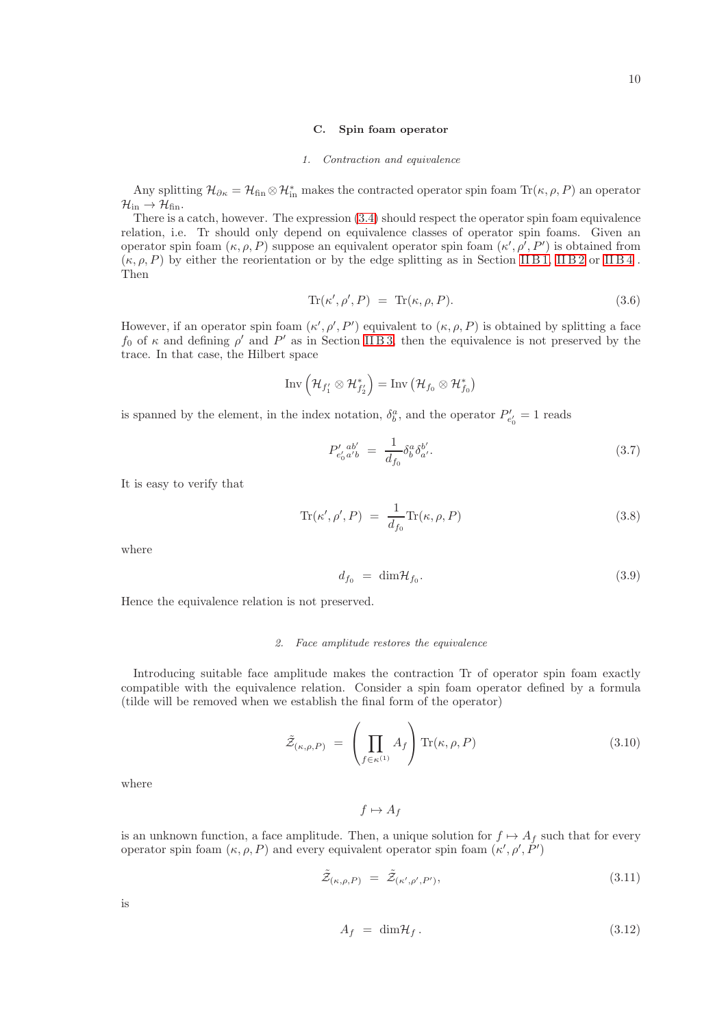#### C. Spin foam operator

#### *1. Contraction and equivalence*

Any splitting  $\mathcal{H}_{\partial\kappa} = \mathcal{H}_{fin} \otimes \mathcal{H}_{in}^*$  makes the contracted operator spin foam  $\text{Tr}(\kappa, \rho, P)$  an operator  $\mathcal{H}_{\text{in}} \rightarrow \mathcal{H}_{\text{fin}}$ .

There is a catch, however. The expression [\(3.4\)](#page-8-2) should respect the operator spin foam equivalence relation, i.e. Tr should only depend on equivalence classes of operator spin foams. Given an operator spin foam  $(\kappa, \rho, P)$  suppose an equivalent operator spin foam  $(\kappa', \rho', P')$  is obtained from  $(\kappa, \rho, P)$  by either the reorientation or by the edge splitting as in Section IIB1, IIB2 or IIB4. Then

$$
\text{Tr}(\kappa', \rho', P) = \text{Tr}(\kappa, \rho, P). \tag{3.6}
$$

However, if an operator spin foam  $(\kappa', \rho', P')$  equivalent to  $(\kappa, \rho, P)$  is obtained by splitting a face  $f_0$  of  $\kappa$  and defining  $\rho'$  and  $P'$  as in Section IIB 3, then the equivalence is not preserved by the trace. In that case, the Hilbert space

$$
\mathrm{Inv}\left(\mathcal{H}_{f'_1}\otimes\mathcal{H}_{f'_2}^*\right)=\mathrm{Inv}\left(\mathcal{H}_{f_0}\otimes\mathcal{H}_{f_0}^*\right)
$$

is spanned by the element, in the index notation,  $\delta_b^a$ , and the operator  $P'_{e'_0} = 1$  reads

$$
P'_{e'_0 a'b} = \frac{1}{d_{f_0}} \delta^a_b \delta^{b'}_{a'}.
$$
\n(3.7)

It is easy to verify that

$$
\text{Tr}(\kappa', \rho', P) = \frac{1}{d_{f_0}} \text{Tr}(\kappa, \rho, P) \tag{3.8}
$$

where

$$
d_{f_0} = \dim \mathcal{H}_{f_0}.\tag{3.9}
$$

Hence the equivalence relation is not preserved.

#### *2. Face amplitude restores the equivalence*

Introducing suitable face amplitude makes the contraction Tr of operator spin foam exactly compatible with the equivalence relation. Consider a spin foam operator defined by a formula (tilde will be removed when we establish the final form of the operator)

<span id="page-9-0"></span>
$$
\tilde{\mathcal{Z}}_{(\kappa,\rho,P)} = \left(\prod_{f \in \kappa^{(1)}} A_f\right) \text{Tr}(\kappa,\rho,P) \tag{3.10}
$$

where

 $f \mapsto A_f$ 

is an unknown function, a face amplitude. Then, a unique solution for  $f \mapsto A_f$  such that for every operator spin foam  $(\kappa, \rho, P)$  and every equivalent operator spin foam  $(\kappa', \rho', P')$ 

$$
\tilde{\mathcal{Z}}_{(\kappa,\rho,P)} = \tilde{\mathcal{Z}}_{(\kappa',\rho',P')},\tag{3.11}
$$

is

<span id="page-9-1"></span>
$$
A_f = \dim \mathcal{H}_f. \tag{3.12}
$$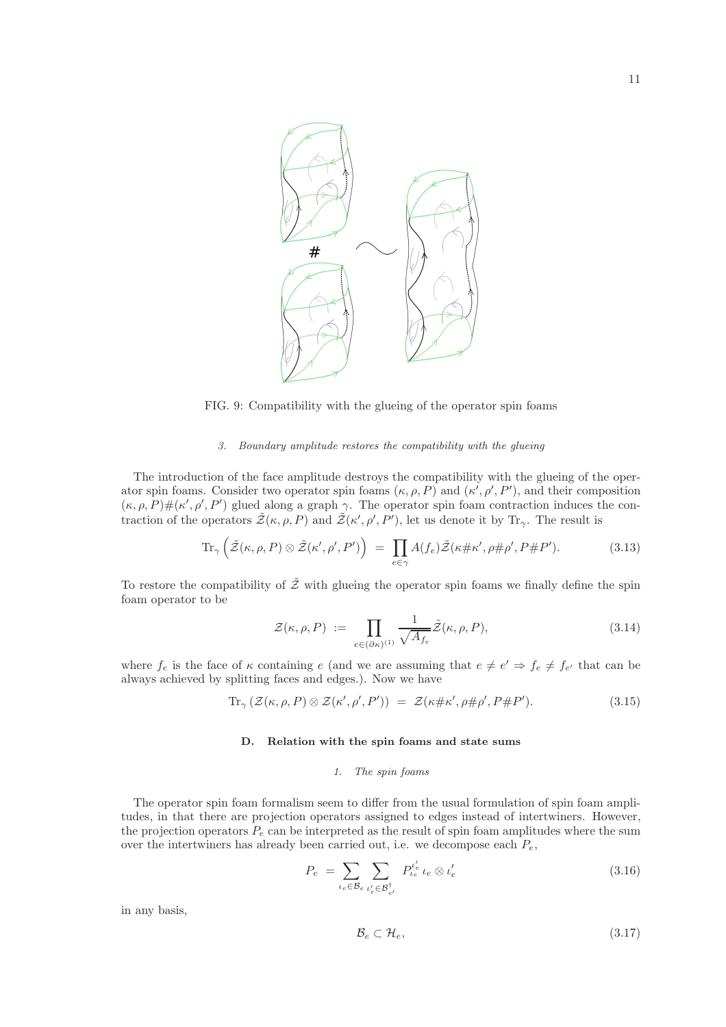

FIG. 9: Compatibility with the glueing of the operator spin foams

# *3. Boundary amplitude restores the compatibility with the glueing*

The introduction of the face amplitude destroys the compatibility with the glueing of the operator spin foams. Consider two operator spin foams  $(\kappa, \rho, P)$  and  $(\kappa', \rho', P')$ , and their composition  $(\kappa, \rho, P)$ # $(\kappa', \rho', P')$  glued along a graph  $\gamma$ . The operator spin foam contraction induces the contraction of the operators  $\tilde{Z}(\kappa,\rho,P)$  and  $\tilde{Z}(\kappa',\rho',P')$ , let us denote it by Tr<sub>γ</sub>. The result is

$$
\operatorname{Tr}_{\gamma}\left(\tilde{\mathcal{Z}}(\kappa,\rho,P)\otimes\tilde{\mathcal{Z}}(\kappa',\rho',P')\right) = \prod_{e\in\gamma}A(f_e)\tilde{\mathcal{Z}}(\kappa\#\kappa',\rho\#\rho',P\#P').\tag{3.13}
$$

To restore the compatibility of  $\tilde{Z}$  with glueing the operator spin foams we finally define the spin foam operator to be

<span id="page-10-1"></span>
$$
\mathcal{Z}(\kappa,\rho,P) := \prod_{e \in (\partial \kappa)^{(1)}} \frac{1}{\sqrt{A_{f_e}}} \tilde{\mathcal{Z}}(\kappa,\rho,P), \tag{3.14}
$$

where  $f_e$  is the face of  $\kappa$  containing e (and we are assuming that  $e \neq e' \Rightarrow f_e \neq f_{e'}$  that can be always achieved by splitting faces and edges.). Now we have

$$
\text{Tr}_{\gamma}(\mathcal{Z}(\kappa,\rho,P)\otimes\mathcal{Z}(\kappa',\rho',P')) = \mathcal{Z}(\kappa\#\kappa',\rho\#\rho',P\#P').\tag{3.15}
$$

## D. Relation with the spin foams and state sums

## *1. The spin foams*

The operator spin foam formalism seem to differ from the usual formulation of spin foam amplitudes, in that there are projection operators assigned to edges instead of intertwiners. However, the projection operators  $P_e$  can be interpreted as the result of spin foam amplitudes where the sum over the intertwiners has already been carried out, i.e. we decompose each  $P_e$ ,

<span id="page-10-0"></span>
$$
P_e = \sum_{\iota_e \in \mathcal{B}_e} \sum_{\iota'_e \in \mathcal{B}^\dagger_{e'}} P^{\iota'_e}_{\iota_e} \iota_e \otimes \iota'_e \tag{3.16}
$$

in any basis,

$$
\mathcal{B}_e \subset \mathcal{H}_e,\tag{3.17}
$$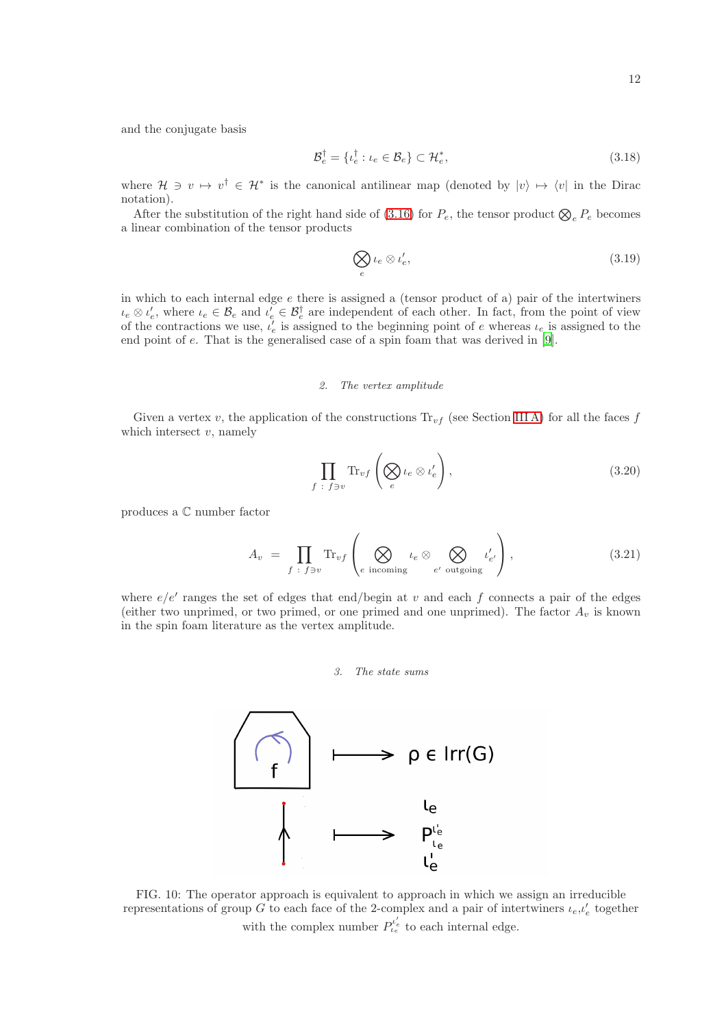and the conjugate basis

$$
\mathcal{B}_e^{\dagger} = \{ \iota_e^{\dagger} : \iota_e \in \mathcal{B}_e \} \subset \mathcal{H}_e^*,
$$
\n(3.18)

where  $\mathcal{H} \ni v \mapsto v^{\dagger} \in \mathcal{H}^*$  is the canonical antilinear map (denoted by  $|v\rangle \mapsto \langle v|$  in the Dirac notation).

After the substitution of the right hand side of [\(3.16\)](#page-10-0) for  $P_e$ , the tensor product  $\bigotimes_e P_e$  becomes a linear combination of the tensor products

$$
\bigotimes_{e} \iota_{e} \otimes \iota'_{e},\tag{3.19}
$$

in which to each internal edge e there is assigned a (tensor product of a) pair of the intertwiners  $\iota_e \otimes \iota'_e$ , where  $\iota_e \in \mathcal{B}_e$  and  $\iota'_e \in \mathcal{B}_e^{\dagger}$  are independent of each other. In fact, from the point of view of the contractions we use,  $\overline{l}_e$  is assigned to the beginning point of e whereas  $l_e$  is assigned to the end point of e. That is the generalised case of a spin foam that was derived in [\[9\]](#page-18-3).

### *2. The vertex amplitude*

Given a vertex v, the application of the constructions  $\text{Tr}_{vf}$  (see Section [III A\)](#page-7-0) for all the faces f which intersect  $v$ , namely

$$
\prod_{f \;:\; f \ni v} \text{Tr}_{vf} \left( \bigotimes_e \iota_e \otimes \iota'_e \right),\tag{3.20}
$$

produces a C number factor

<span id="page-11-0"></span>
$$
A_v = \prod_{f \; : \; f \ni v} \text{Tr}_{vf} \left( \bigotimes_{e \text{ incoming}} \iota_e \otimes \bigotimes_{e' \text{ outgoing}} \iota'_{e'} \right), \tag{3.21}
$$

where  $e/e'$  ranges the set of edges that end/begin at v and each f connects a pair of the edges (either two unprimed, or two primed, or one primed and one unprimed). The factor  $A_v$  is known in the spin foam literature as the vertex amplitude.

### *3. The state sums*



FIG. 10: The operator approach is equivalent to approach in which we assign an irreducible representations of group G to each face of the 2-complex and a pair of intertwiners  $\iota_e, \iota'_e$  together with the complex number  $P_{t_e}^{t'_e}$  to each internal edge.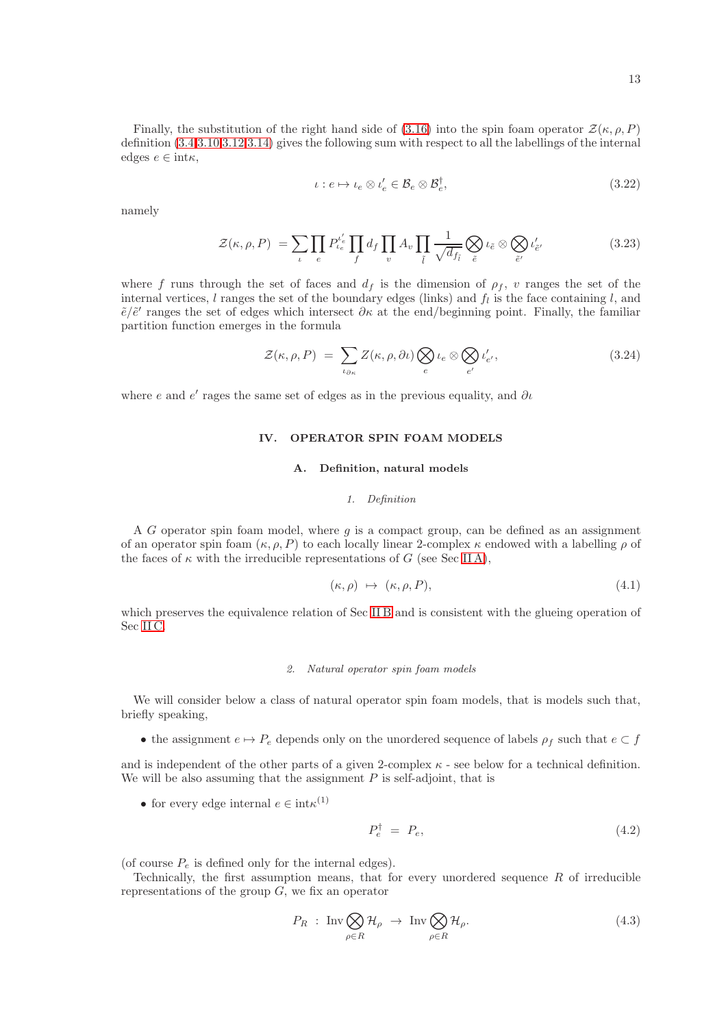Finally, the substitution of the right hand side of [\(3.16\)](#page-10-0) into the spin foam operator  $\mathcal{Z}(\kappa, \rho, P)$ definition [\(3.4,](#page-8-2)[3.10,](#page-9-0)[3.12,](#page-9-1)[3.14\)](#page-10-1) gives the following sum with respect to all the labellings of the internal edges  $e \in \text{int}\kappa$ ,

$$
\iota: e \mapsto \iota_e \otimes \iota'_e \in \mathcal{B}_e \otimes \mathcal{B}_e^{\dagger},\tag{3.22}
$$

namely

$$
\mathcal{Z}(\kappa,\rho,P) = \sum_{\iota} \prod_{e} P_{\iota_e}^{\iota_e'} \prod_f d_f \prod_v A_v \prod_{\tilde{l}} \frac{1}{\sqrt{d_{f_{\tilde{l}}}}} \bigotimes_{\tilde{e}} \iota_{\tilde{e}} \otimes \bigotimes_{\tilde{e}'} \iota_{\tilde{e}'}^{\iota'} \tag{3.23}
$$

where f runs through the set of faces and  $d_f$  is the dimension of  $\rho_f$ , v ranges the set of the internal vertices, l ranges the set of the boundary edges (links) and  $f_l$  is the face containing l, and  $\tilde{e}/\tilde{e}'$  ranges the set of edges which intersect  $\partial \kappa$  at the end/beginning point. Finally, the familiar partition function emerges in the formula

$$
\mathcal{Z}(\kappa,\rho,P) = \sum_{\iota_{\partial\kappa}} Z(\kappa,\rho,\partial\iota) \bigotimes_{e} \iota_e \otimes \bigotimes_{e'} \iota'_{e'},\tag{3.24}
$$

where e and e' rages the same set of edges as in the previous equality, and  $\partial u$ 

### IV. OPERATOR SPIN FOAM MODELS

#### A. Definition, natural models

### *1. Definition*

A G operator spin foam model, where q is a compact group, can be defined as an assignment of an operator spin foam  $(\kappa, \rho, P)$  to each locally linear 2-complex  $\kappa$  endowed with a labelling  $\rho$  of the faces of  $\kappa$  with the irreducible representations of G (see Sec [II A\)](#page-1-1),

<span id="page-12-0"></span>
$$
(\kappa, \rho) \mapsto (\kappa, \rho, P), \tag{4.1}
$$

which preserves the equivalence relation of Sec IIB and is consistent with the glueing operation of Sec [II C.](#page-6-0)

#### *2. Natural operator spin foam models*

We will consider below a class of natural operator spin foam models, that is models such that, briefly speaking,

• the assignment  $e \mapsto P_e$  depends only on the unordered sequence of labels  $\rho_f$  such that  $e \subset f$ 

and is independent of the other parts of a given 2-complex  $\kappa$  - see below for a technical definition. We will be also assuming that the assignment  $P$  is self-adjoint, that is

• for every edge internal  $e \in \text{int} \kappa^{(1)}$ 

$$
P_e^{\dagger} = P_e, \tag{4.2}
$$

(of course  $P_e$  is defined only for the internal edges).

Technically, the first assumption means, that for every unordered sequence  $R$  of irreducible representations of the group  $G$ , we fix an operator

<span id="page-12-1"></span>
$$
P_R : \operatorname{Inv} \bigotimes_{\rho \in R} \mathcal{H}_{\rho} \to \operatorname{Inv} \bigotimes_{\rho \in R} \mathcal{H}_{\rho}. \tag{4.3}
$$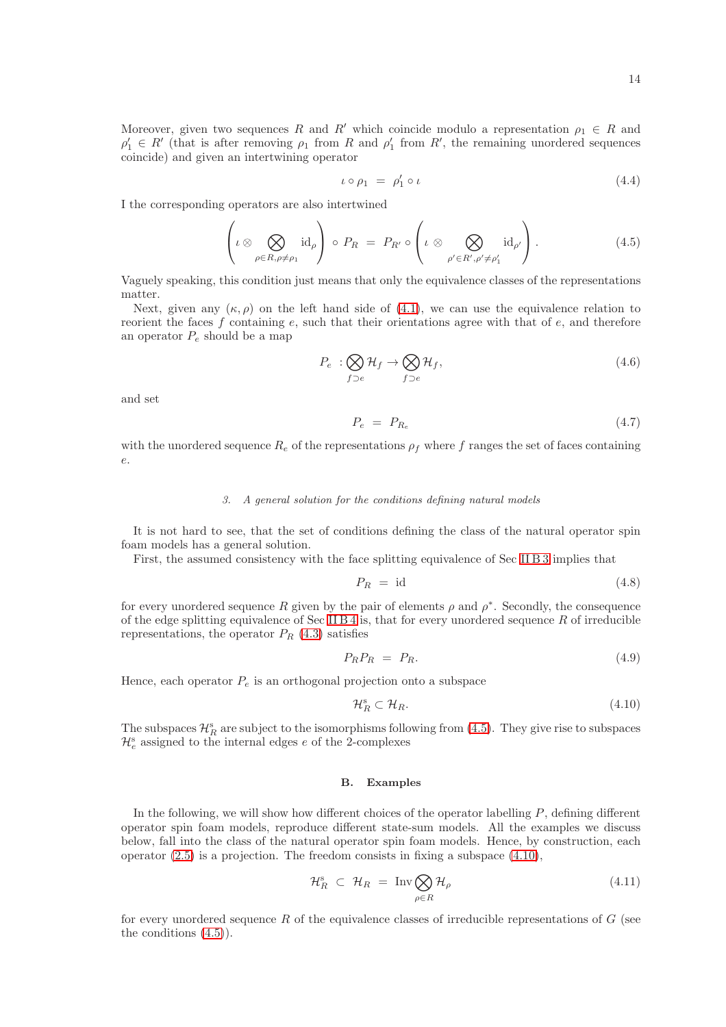Moreover, given two sequences R and R' which coincide modulo a representation  $\rho_1 \in R$  and  $\rho'_1 \in R'$  (that is after removing  $\rho_1$  from R and  $\rho'_1$  from R', the remaining unordered sequences coincide) and given an intertwining operator

$$
\iota \circ \rho_1 = \rho'_1 \circ \iota \tag{4.4}
$$

I the corresponding operators are also intertwined

<span id="page-13-0"></span>
$$
\left(\iota \otimes \bigotimes_{\rho \in R, \rho \neq \rho_1} \mathrm{id}_{\rho}\right) \circ P_R = P_{R'} \circ \left(\iota \otimes \bigotimes_{\rho' \in R', \rho' \neq \rho'_1} \mathrm{id}_{\rho'}\right). \tag{4.5}
$$

Vaguely speaking, this condition just means that only the equivalence classes of the representations matter.

Next, given any  $(\kappa, \rho)$  on the left hand side of [\(4.1\)](#page-12-0), we can use the equivalence relation to reorient the faces f containing  $e$ , such that their orientations agree with that of  $e$ , and therefore an operator  $P_e$  should be a map

$$
P_e : \bigotimes_{f \supset e} \mathcal{H}_f \to \bigotimes_{f \supset e} \mathcal{H}_f,\tag{4.6}
$$

and set

$$
P_e = P_{R_e} \tag{4.7}
$$

with the unordered sequence  $R_e$  of the representations  $\rho_f$  where f ranges the set of faces containing e.

### *3. A general solution for the conditions defining natural models*

It is not hard to see, that the set of conditions defining the class of the natural operator spin foam models has a general solution.

First, the assumed consistency with the face splitting equivalence of Sec [II B 3](#page-4-0) implies that

$$
P_R = id \tag{4.8}
$$

for every unordered sequence R given by the pair of elements  $\rho$  and  $\rho^*$ . Secondly, the consequence of the edge splitting equivalence of Sec [II B 4](#page-5-0) is, that for every unordered sequence  $R$  of irreducible representations, the operator  $P_R$  [\(4.3\)](#page-12-1) satisfies

$$
P_R P_R = P_R. \t\t(4.9)
$$

Hence, each operator  $P_e$  is an orthogonal projection onto a subspace

<span id="page-13-1"></span>
$$
\mathcal{H}_R^{\rm s} \subset \mathcal{H}_R. \tag{4.10}
$$

The subspaces  $\mathcal{H}_R^s$  are subject to the isomorphisms following from [\(4.5\)](#page-13-0). They give rise to subspaces  $\mathcal{H}_e^s$  assigned to the internal edges e of the 2-complexes

## B. Examples

In the following, we will show how different choices of the operator labelling  $P$ , defining different operator spin foam models, reproduce different state-sum models. All the examples we discuss below, fall into the class of the natural operator spin foam models. Hence, by construction, each operator [\(2.5\)](#page-2-4) is a projection. The freedom consists in fixing a subspace [\(4.10\)](#page-13-1),

$$
\mathcal{H}_R^s \subset \mathcal{H}_R = \operatorname{Inv} \bigotimes_{\rho \in R} \mathcal{H}_\rho \tag{4.11}
$$

for every unordered sequence  $R$  of the equivalence classes of irreducible representations of  $G$  (see the conditions [\(4.5\)](#page-13-0)).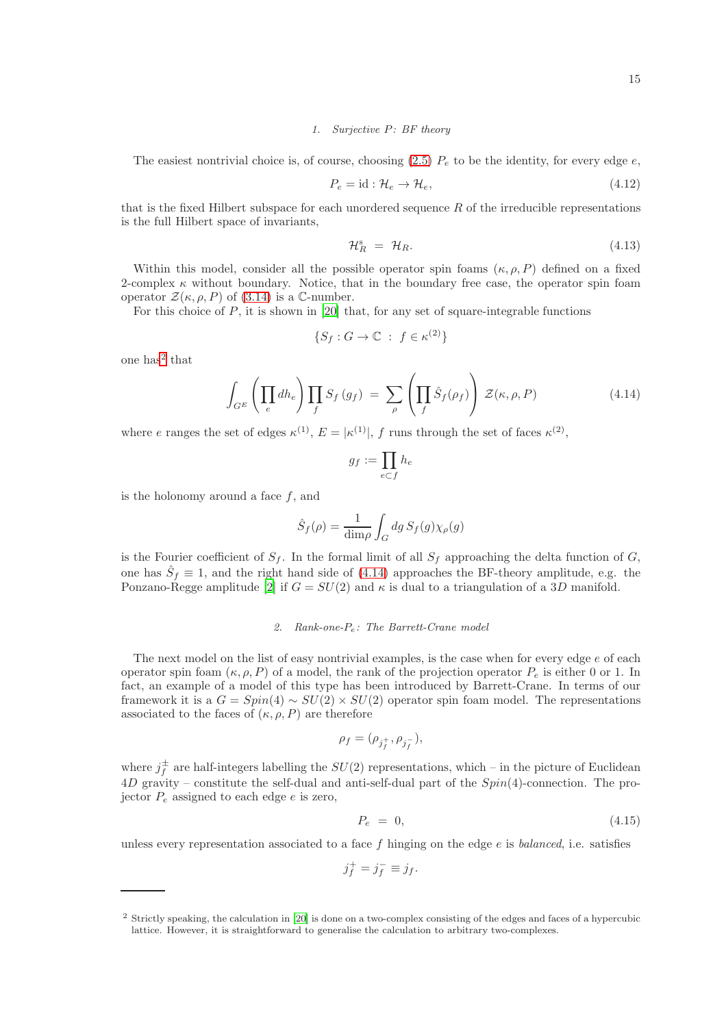#### *1. Surjective* P*: BF theory*

The easiest nontrivial choice is, of course, choosing  $(2.5)$   $P_e$  to be the identity, for every edge e,

$$
P_e = id : \mathcal{H}_e \to \mathcal{H}_e,\tag{4.12}
$$

that is the fixed Hilbert subspace for each unordered sequence  $R$  of the irreducible representations is the full Hilbert space of invariants,

$$
\mathcal{H}_R^{\rm s} = \mathcal{H}_R. \tag{4.13}
$$

Within this model, consider all the possible operator spin foams  $(\kappa, \rho, P)$  defined on a fixed 2-complex  $\kappa$  without boundary. Notice, that in the boundary free case, the operator spin foam operator  $\mathcal{Z}(\kappa, \rho, P)$  of [\(3.14\)](#page-10-1) is a C-number.

For this choice of  $P$ , it is shown in [\[20\]](#page-18-4) that, for any set of square-integrable functions

$$
\{S_f: G \to \mathbb{C} \; : \; f \in \kappa^{(2)}\}
$$

one has<sup>[2](#page-14-0)</sup> that

<span id="page-14-1"></span>
$$
\int_{G^E} \left( \prod_e dh_e \right) \prod_f S_f \left( g_f \right) \ = \ \sum_{\rho} \left( \prod_f \hat{S}_f(\rho_f) \right) \ \mathcal{Z}(\kappa, \rho, P) \tag{4.14}
$$

where e ranges the set of edges  $\kappa^{(1)}$ ,  $E = |\kappa^{(1)}|$ , f runs through the set of faces  $\kappa^{(2)}$ ,

$$
g_f := \prod_{e \subset f} h_e
$$

is the holonomy around a face  $f$ , and

$$
\hat{S}_f(\rho)=\frac{1}{\dim \rho}\int_G dg\,S_f(g)\chi_\rho(g)
$$

is the Fourier coefficient of  $S_f$ . In the formal limit of all  $S_f$  approaching the delta function of G, one has  $\hat{S}_f \equiv 1$ , and the right hand side of [\(4.14\)](#page-14-1) approaches the BF-theory amplitude, e.g. the Ponzano-Regge amplitude [\[2\]](#page-17-1) if  $G = SU(2)$  and  $\kappa$  is dual to a triangulation of a 3D manifold.

#### *2. Rank-one-*Pe*: The Barrett-Crane model*

The next model on the list of easy nontrivial examples, is the case when for every edge  $e$  of each operator spin foam  $(\kappa, \rho, P)$  of a model, the rank of the projection operator  $P_e$  is either 0 or 1. In fact, an example of a model of this type has been introduced by Barrett-Crane. In terms of our framework it is a  $G = Spin(4) \sim SU(2) \times SU(2)$  operator spin foam model. The representations associated to the faces of  $(\kappa, \rho, P)$  are therefore

$$
\rho_f = (\rho_{j_f^+}, \rho_{j_f^-}),
$$

where  $j_f^{\pm}$  are half-integers labelling the  $SU(2)$  representations, which – in the picture of Euclidean  $4D$  gravity – constitute the self-dual and anti-self-dual part of the  $Spin(4)$ -connection. The projector  $P_e$  assigned to each edge e is zero,

$$
P_e = 0,\t\t(4.15)
$$

unless every representation associated to a face  $f$  hinging on the edge  $e$  is balanced, i.e. satisfies

$$
j_f^+ = j_f^- \equiv j_f.
$$

<span id="page-14-0"></span><sup>2</sup> Strictly speaking, the calculation in [\[20\]](#page-18-4) is done on a two-complex consisting of the edges and faces of a hypercubic lattice. However, it is straightforward to generalise the calculation to arbitrary two-complexes.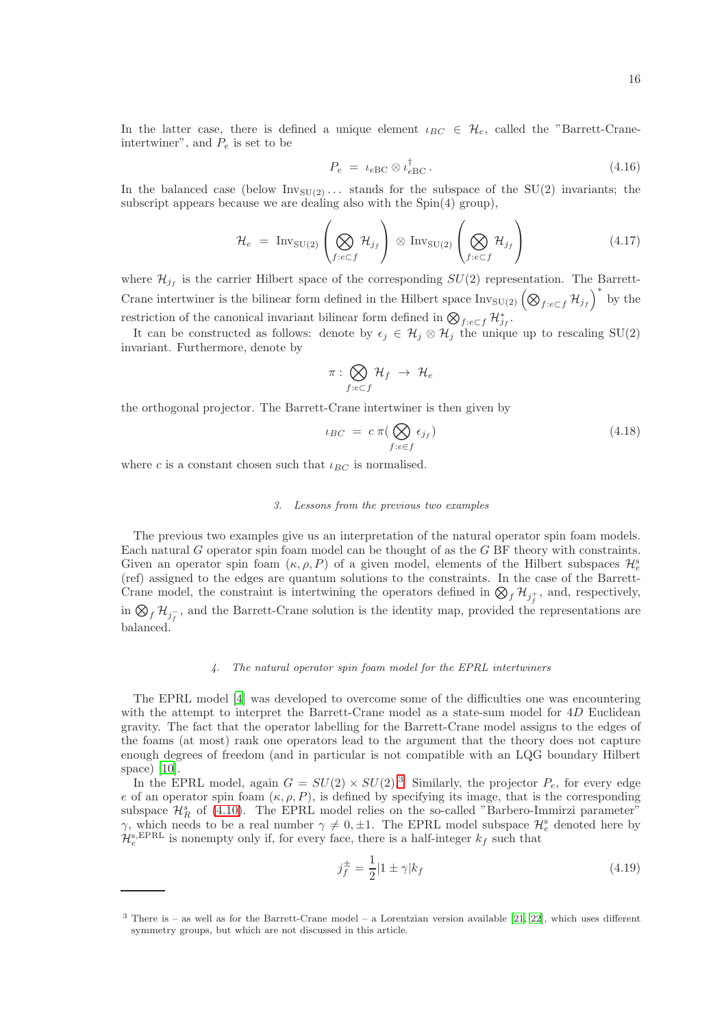$$
P_e = \iota_{eBC} \otimes \iota_{eBC}^{\dagger}.
$$
\n(4.16)

In the balanced case (below  $Inv_{SU(2)} \ldots$  stands for the subspace of the  $SU(2)$  invariants; the subscript appears because we are dealing also with the Spin(4) group),

$$
\mathcal{H}_e = \text{Inv}_{\text{SU}(2)} \left( \bigotimes_{f: e \subset f} \mathcal{H}_{j_f} \right) \otimes \text{Inv}_{\text{SU}(2)} \left( \bigotimes_{f: e \subset f} \mathcal{H}_{j_f} \right) \tag{4.17}
$$

where  $\mathcal{H}_{j_f}$  is the carrier Hilbert space of the corresponding  $SU(2)$  representation. The Barrett-Crane intertwiner is the bilinear form defined in the Hilbert space  $\text{Inv}_{\text{SU(2)}} (\bigotimes_{f:e\subset f} \mathcal{H}_{j_f})^*$  by the restriction of the canonical invariant bilinear form defined in  $\bigotimes_{f:e\subset f} \mathcal{H}_{j_f}^*$ .

It can be constructed as follows: denote by  $\epsilon_j \in \mathcal{H}_j \otimes \mathcal{H}_j$  the unique up to rescaling SU(2) invariant. Furthermore, denote by

$$
\pi: \bigotimes_{f: e\subset f} \mathcal{H}_f \ \to \ \mathcal{H}_e
$$

the orthogonal projector. The Barrett-Crane intertwiner is then given by

$$
\iota_{BC} = c \pi \left( \bigotimes_{f:e \in f} \epsilon_{j_f} \right) \tag{4.18}
$$

where c is a constant chosen such that  $\iota_{BC}$  is normalised.

#### *3. Lessons from the previous two examples*

The previous two examples give us an interpretation of the natural operator spin foam models. Each natural G operator spin foam model can be thought of as the G BF theory with constraints. Given an operator spin foam  $(\kappa, \rho, P)$  of a given model, elements of the Hilbert subspaces  $\mathcal{H}^s_e$ (ref) assigned to the edges are quantum solutions to the constraints. In the case of the Barrett-Crane model, the constraint is intertwining the operators defined in  $\bigotimes_f \mathcal{H}_{j_f^+}$ , and, respectively, in  $\bigotimes_f \mathcal{H}_{j_f^-}$ , and the Barrett-Crane solution is the identity map, provided the representations are balanced.

#### *4. The natural operator spin foam model for the EPRL intertwiners*

The EPRL model [\[4\]](#page-17-3) was developed to overcome some of the difficulties one was encountering with the attempt to interpret the Barrett-Crane model as a state-sum model for  $4D$  Euclidean gravity. The fact that the operator labelling for the Barrett-Crane model assigns to the edges of the foams (at most) rank one operators lead to the argument that the theory does not capture enough degrees of freedom (and in particular is not compatible with an LQG boundary Hilbert space) [\[10\]](#page-18-5).

In the EPRL model, again  $G = SU(2) \times SU(2)$ .<sup>[3](#page-15-0)</sup> Similarly, the projector  $P_e$ , for every edge e of an operator spin foam  $(\kappa, \rho, P)$ , is defined by specifying its image, that is the corresponding subspace  $\mathcal{H}_R^s$  of [\(4.10\)](#page-13-1). The EPRL model relies on the so-called "Barbero-Immirzi parameter" γ, which needs to be a real number  $\gamma \neq 0, \pm 1$ . The EPRL model subspace  $\mathcal{H}_e^s$  denoted here by  $\mathcal{H}_e^{\text{s,EPRL}}$  is nonempty only if, for every face, there is a half-integer  $k_f$  such that

<span id="page-15-1"></span>
$$
j_f^{\pm} = \frac{1}{2} |1 \pm \gamma| k_f \tag{4.19}
$$

<span id="page-15-0"></span> $3$  There is – as well as for the Barrett-Crane model – a Lorentzian version available [\[21](#page-18-6), [22\]](#page-18-7), which uses different symmetry groups, but which are not discussed in this article.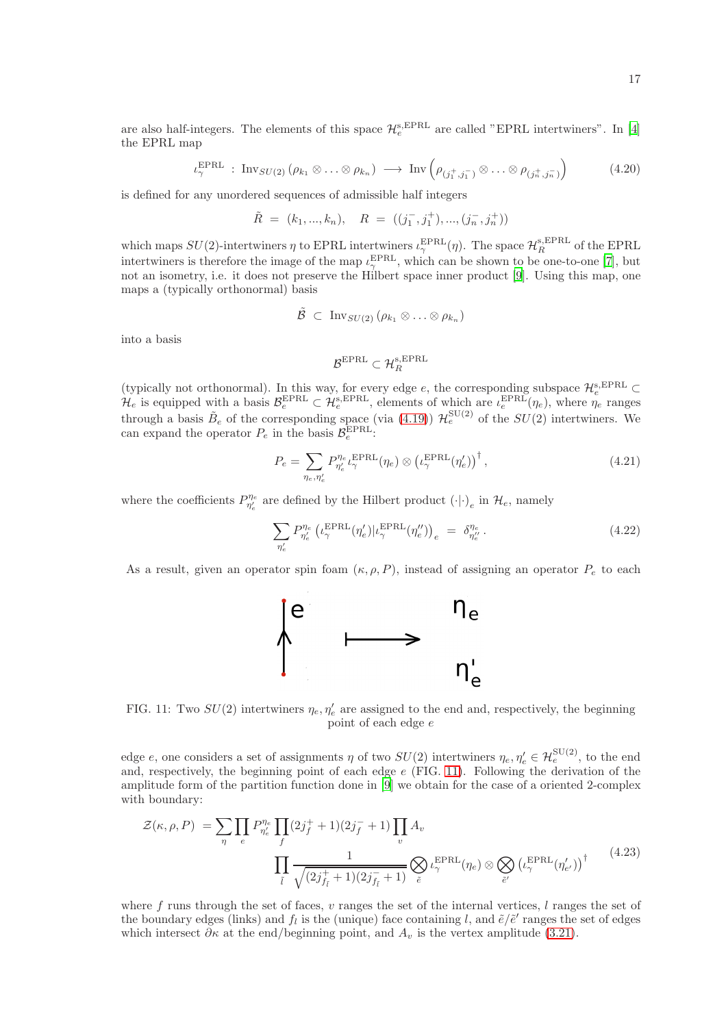are also half-integers. The elements of this space  $\mathcal{H}_e^{s, \text{EPRL}}$  are called "EPRL intertwiners". In [\[4](#page-17-3)] the EPRL map

$$
\iota_{\gamma}^{\text{EPRL}} : \text{Inv}_{SU(2)}\left(\rho_{k_1} \otimes \ldots \otimes \rho_{k_n}\right) \longrightarrow \text{Inv}\left(\rho_{\left(j_1^+, j_1^-\right)} \otimes \ldots \otimes \rho_{\left(j_n^+, j_n^-\right)}\right) \tag{4.20}
$$

is defined for any unordered sequences of admissible half integers

$$
\tilde{R} \ = \ (k_1,...,k_n), \quad R \ = \ ((j^-_1,j^+_1),...,(j^-_n,j^+_n))
$$

which maps  $SU(2)$ -intertwiners  $\eta$  to EPRL intertwiners  $\iota_{\gamma}^{\text{EPRL}}(\eta)$ . The space  $\mathcal{H}_{R}^{s,\text{EPRL}}$  of the EPRL intertwiners is therefore the image of the map  $\iota_{\gamma}^{\text{EPRL}}$ , which can be shown to be one-to-one [\[7\]](#page-17-6), but not an isometry, i.e. it does not preserve the Hilbert space inner product [\[9\]](#page-18-3). Using this map, one maps a (typically orthonormal) basis

$$
\tilde{\mathcal{B}} \ \subset \ \text{Inv}_{SU(2)}\left(\rho_{k_1} \otimes \ldots \otimes \rho_{k_n}\right)
$$

into a basis

$$
\mathcal{B}^{\text{EPRL}} \subset \mathcal{H}_{R}^{\text{s,EPRL}}
$$

(typically not orthonormal). In this way, for every edge e, the corresponding subspace  $\mathcal{H}_e^{s,\text{EPRL}}$  $\mathcal{H}_e$  is equipped with a basis  $\mathcal{B}_e^{\text{EPRL}} \subset \mathcal{H}_e^{\text{s,EPRL}}$ , elements of which are  $\iota_e^{\text{EPRL}}(\eta_e)$ , where  $\eta_e$  ranges through a basis  $\tilde{B}_e$  of the corresponding space (via [\(4.19\)](#page-15-1))  $\mathcal{H}_e^{\text{SU}(2)}$  of the  $SU(2)$  intertwiners. We can expand the operator  $P_e$  in the basis  $\mathcal{B}_e^{\text{EPRL}}$ :

$$
P_e = \sum_{\eta_e, \eta'_e} P_{\eta'_e}^{\eta_e} l_{\gamma}^{\text{EPRL}}(\eta_e) \otimes \left( l_{\gamma}^{\text{EPRL}}(\eta'_e) \right)^{\dagger}, \tag{4.21}
$$

where the coefficients  $P_{\eta'_e}^{\eta_e}$  are defined by the Hilbert product  $(\cdot | \cdot)_e$  in  $\mathcal{H}_e$ , namely

$$
\sum_{\eta'_e} P_{\eta'_e}^{\eta_e} \left( \iota_\gamma^{\rm EPRL}(\eta'_e) | \iota_\gamma^{\rm EPRL}(\eta''_e) \right)_e = \delta_{\eta''_e}^{\eta_e} . \tag{4.22}
$$

<span id="page-16-0"></span>As a result, given an operator spin foam  $(\kappa, \rho, P)$ , instead of assigning an operator  $P_e$  to each



FIG. 11: Two  $SU(2)$  intertwiners  $\eta_e, \eta'_e$  are assigned to the end and, respectively, the beginning point of each edge e

edge e, one considers a set of assignments  $\eta$  of two  $SU(2)$  intertwiners  $\eta_e, \eta'_e \in \mathcal{H}_e^{\text{SU}(2)}$ , to the end and, respectively, the beginning point of each edge  $e$  (FIG. [11\)](#page-16-0). Following the derivation of the amplitude form of the partition function done in [\[9](#page-18-3)] we obtain for the case of a oriented 2-complex with boundary:

$$
\mathcal{Z}(\kappa,\rho,P) = \sum_{\eta} \prod_{e} P_{\eta_e}^{n_e} \prod_{f} (2j_f^+ + 1)(2j_f^- + 1) \prod_v A_v
$$
\n
$$
\prod_{\tilde{l}} \frac{1}{\sqrt{(2j_{f_{\tilde{l}}}^+ + 1)(2j_{f_{\tilde{l}}}^- + 1)}} \bigotimes_{\tilde{e}} \iota_{\gamma}^{\text{EPRL}}(\eta_e) \otimes \bigotimes_{\tilde{e}'} (\iota_{\gamma}^{\text{EPRL}}(\eta'_{e'}))^{\dagger}
$$
\n
$$
(4.23)
$$

where f runs through the set of faces,  $v$  ranges the set of the internal vertices,  $l$  ranges the set of the boundary edges (links) and  $f_l$  is the (unique) face containing l, and  $\tilde{e}/\tilde{e}'$  ranges the set of edges which intersect  $\partial \kappa$  at the end/beginning point, and  $A_v$  is the vertex amplitude [\(3.21\)](#page-11-0).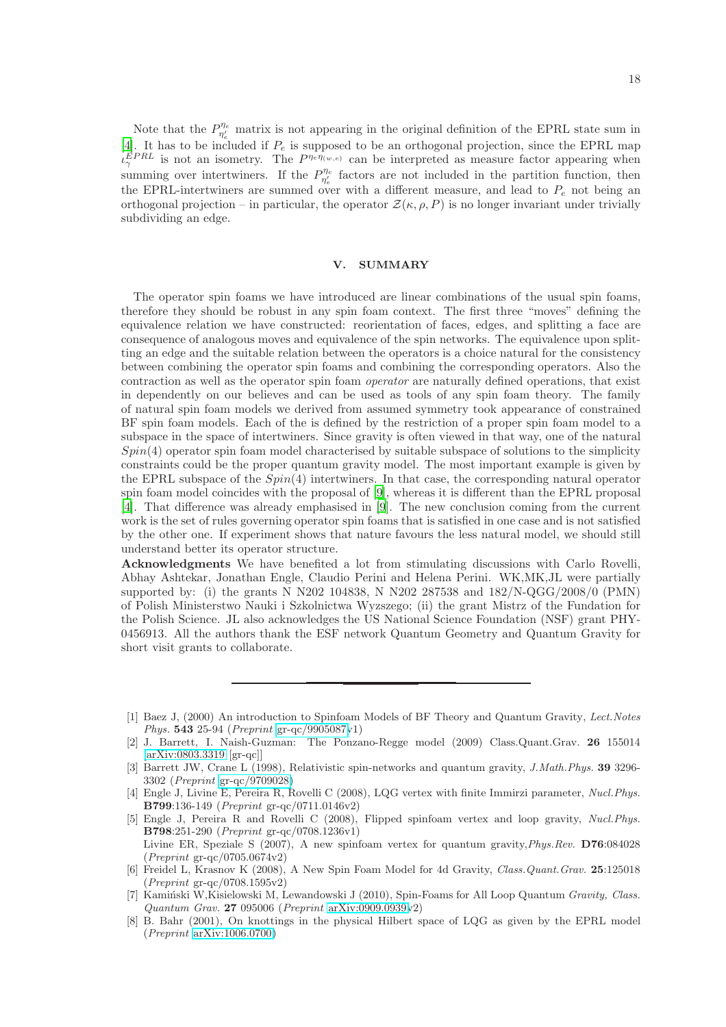Note that the  $P_{\eta_c}^{\eta_e}$  matrix is not appearing in the original definition of the EPRL state sum in [\[4\]](#page-17-3). It has to be included if  $P_e$  is supposed to be an orthogonal projection, since the EPRL map  $\tilde{e}^{\text{EPRL}}_{\gamma}$  is not an isometry. The  $P^{\eta_e \eta_{(w,e)}}$  can be interpreted as measure factor appearing when summing over intertwiners. If the  $P_{\eta'_e}^{\eta_e}$  factors are not included in the partition function, then the EPRL-intertwiners are summed over with a different measure, and lead to  $P_e$  not being an orthogonal projection – in particular, the operator  $\mathcal{Z}(\kappa, \rho, P)$  is no longer invariant under trivially subdividing an edge.

### V. SUMMARY

The operator spin foams we have introduced are linear combinations of the usual spin foams, therefore they should be robust in any spin foam context. The first three "moves" defining the equivalence relation we have constructed: reorientation of faces, edges, and splitting a face are consequence of analogous moves and equivalence of the spin networks. The equivalence upon splitting an edge and the suitable relation between the operators is a choice natural for the consistency between combining the operator spin foams and combining the corresponding operators. Also the contraction as well as the operator spin foam operator are naturally defined operations, that exist in dependently on our believes and can be used as tools of any spin foam theory. The family of natural spin foam models we derived from assumed symmetry took appearance of constrained BF spin foam models. Each of the is defined by the restriction of a proper spin foam model to a subspace in the space of intertwiners. Since gravity is often viewed in that way, one of the natural  $Spin(4)$  operator spin foam model characterised by suitable subspace of solutions to the simplicity constraints could be the proper quantum gravity model. The most important example is given by the EPRL subspace of the  $Spin(4)$  intertwiners. In that case, the corresponding natural operator spin foam model coincides with the proposal of [\[9\]](#page-18-3), whereas it is different than the EPRL proposal [\[4\]](#page-17-3). That difference was already emphasised in [\[9](#page-18-3)]. The new conclusion coming from the current work is the set of rules governing operator spin foams that is satisfied in one case and is not satisfied by the other one. If experiment shows that nature favours the less natural model, we should still understand better its operator structure.

Acknowledgments We have benefited a lot from stimulating discussions with Carlo Rovelli, Abhay Ashtekar, Jonathan Engle, Claudio Perini and Helena Perini. WK,MK,JL were partially supported by: (i) the grants N N202 104838, N N202 287538 and 182/N-QGG/2008/0 (PMN) of Polish Ministerstwo Nauki i Szkolnictwa Wyzszego; (ii) the grant Mistrz of the Fundation for the Polish Science. JL also acknowledges the US National Science Foundation (NSF) grant PHY-0456913. All the authors thank the ESF network Quantum Geometry and Quantum Gravity for short visit grants to collaborate.

<span id="page-17-0"></span><sup>[1]</sup> Baez J, (2000) An introduction to Spinfoam Models of BF Theory and Quantum Gravity, *Lect.Notes Phys.* 543 25-94 (*Preprint* [gr-qc/9905087v](http://arxiv.org/abs/gr-qc/9905087)1)

<span id="page-17-1"></span><sup>[2]</sup> J. Barrett, I. Naish-Guzman: The Ponzano-Regge model (2009) Class.Quant.Grav. 26 155014 [\[arXiv:0803.3319](http://arxiv.org/abs/0803.3319) [gr-qc]]

<span id="page-17-2"></span><sup>[3]</sup> Barrett JW, Crane L (1998), Relativistic spin-networks and quantum gravity, *J.Math.Phys.* 39 3296- 3302 (*Preprint* [gr-qc/9709028\)](http://arxiv.org/abs/gr-qc/9709028)

<span id="page-17-3"></span><sup>[4]</sup> Engle J, Livine E, Pereira R, Rovelli C (2008), LQG vertex with finite Immirzi parameter, *Nucl.Phys.* B799:136-149 (*Preprint* gr-qc/0711.0146v2)

<span id="page-17-4"></span><sup>[5]</sup> Engle J, Pereira R and Rovelli C (2008), Flipped spinfoam vertex and loop gravity, *Nucl.Phys.* B798:251-290 (*Preprint* gr-qc/0708.1236v1) Livine ER, Speziale S (2007), A new spinfoam vertex for quantum gravity,*Phys.Rev.* D76:084028 (*Preprint* gr-qc/0705.0674v2)

<span id="page-17-5"></span><sup>[6]</sup> Freidel L, Krasnov K (2008), A New Spin Foam Model for 4d Gravity, *Class.Quant.Grav.* 25:125018 (*Preprint* gr-qc/0708.1595v2)

<span id="page-17-6"></span><sup>[7]</sup> Kamiński W,Kisielowski M, Lewandowski J (2010), Spin-Foams for All Loop Quantum *Gravity, Class. Quantum Grav.* 27 095006 (*Preprint* [arXiv:0909.0939v](http://arxiv.org/abs/0909.0939)2)

<span id="page-17-7"></span><sup>[8]</sup> B. Bahr (2001), On knottings in the physical Hilbert space of LQG as given by the EPRL model (*Preprint* [arXiv:1006.0700\)](http://arxiv.org/abs/1006.0700)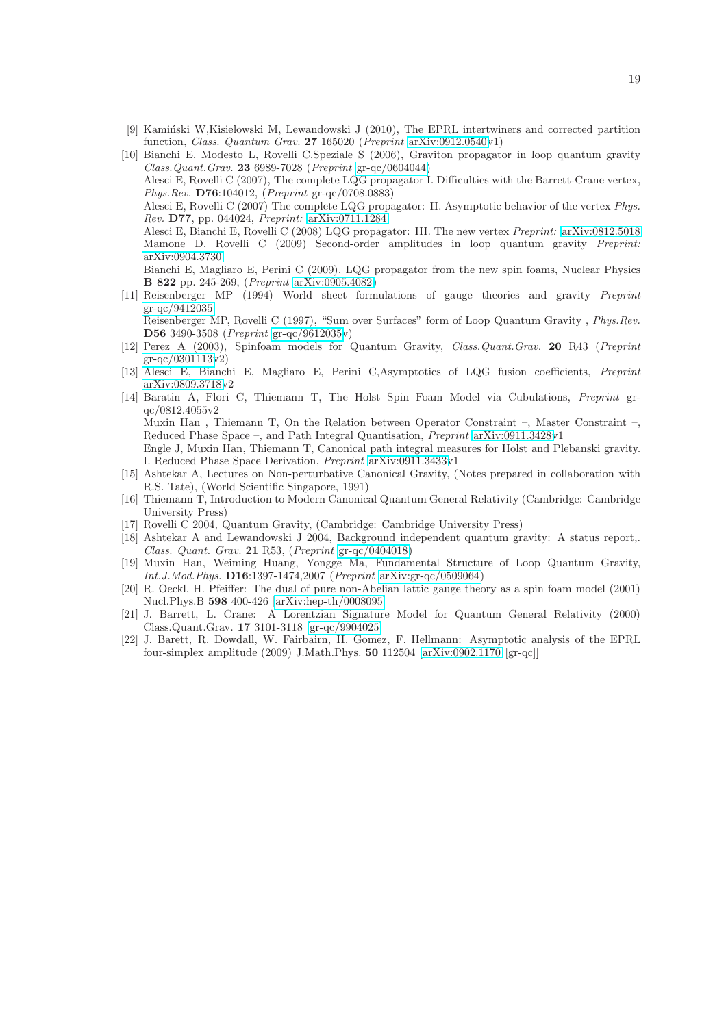- <span id="page-18-3"></span>[9] Kaminski W,Kisielowski M, Lewandowski J (2010), The EPRL intertwiners and corrected partition function, *Class. Quantum Grav.* 27 165020 (*Preprint* [arXiv:0912.0540v](http://arxiv.org/abs/0912.0540)1)
- <span id="page-18-5"></span>[10] Bianchi E, Modesto L, Rovelli C,Speziale S (2006), Graviton propagator in loop quantum gravity *Class.Quant.Grav.* 23 6989-7028 (*Preprint* [gr-qc/0604044\)](http://arxiv.org/abs/gr-qc/0604044) Alesci E, Rovelli C (2007), The complete LQG propagator I. Difficulties with the Barrett-Crane vertex, *Phys.Rev.* D76:104012, (*Preprint* gr-qc/0708.0883) Alesci E, Rovelli C (2007) The complete LQG propagator: II. Asymptotic behavior of the vertex *Phys. Rev.* D77, pp. 044024, *Preprint:* [arXiv:0711.1284](http://arxiv.org/abs/0711.1284) Alesci E, Bianchi E, Rovelli C (2008) LQG propagator: III. The new vertex *Preprint:* [arXiv:0812.5018](http://arxiv.org/abs/0812.5018) Mamone D, Rovelli C (2009) Second-order amplitudes in loop quantum gravity *Preprint:* [arXiv:0904.3730](http://arxiv.org/abs/0904.3730) Bianchi E, Magliaro E, Perini C (2009), LQG propagator from the new spin foams, Nuclear Physics B 822 pp. 245-269, (*Preprint* [arXiv:0905.4082\)](http://arxiv.org/abs/0905.4082)
- [11] Reisenberger MP (1994) World sheet formulations of gauge theories and gravity *Preprint* [gr-qc/9412035](http://arxiv.org/abs/gr-qc/9412035) Reisenberger MP, Rovelli C (1997), "Sum over Surfaces" form of Loop Quantum Gravity , *Phys.Rev.*
- D56 3490-3508 (*Preprint* [gr-qc/9612035v](http://arxiv.org/abs/gr-qc/9612035)) [12] Perez A (2003), Spinfoam models for Quantum Gravity, *Class.Quant.Grav.* 20 R43 (*Preprint* [gr-qc/0301113v](http://arxiv.org/abs/gr-qc/0301113)2)
- [13] Alesci E, Bianchi E, Magliaro E, Perini C,Asymptotics of LQG fusion coefficients, *Preprint* [arXiv:0809.3718v](http://arxiv.org/abs/0809.3718)2
- <span id="page-18-0"></span>[14] Baratin A, Flori C, Thiemann T, The Holst Spin Foam Model via Cubulations, *Preprint* grqc/0812.4055v2 Muxin Han , Thiemann T, On the Relation between Operator Constraint –, Master Constraint –, Reduced Phase Space –, and Path Integral Quantisation, *Preprint* [arXiv:0911.3428v](http://arxiv.org/abs/0911.3428)1 Engle J, Muxin Han, Thiemann T, Canonical path integral measures for Holst and Plebanski gravity. I. Reduced Phase Space Derivation, *Preprint* [arXiv:0911.3433v](http://arxiv.org/abs/0911.3433)1
- <span id="page-18-1"></span>[15] Ashtekar A, Lectures on Non-perturbative Canonical Gravity, (Notes prepared in collaboration with R.S. Tate), (World Scientific Singapore, 1991)
- [16] Thiemann T, Introduction to Modern Canonical Quantum General Relativity (Cambridge: Cambridge University Press)
- [17] Rovelli C 2004, Quantum Gravity, (Cambridge: Cambridge University Press)
- [18] Ashtekar A and Lewandowski J 2004, Background independent quantum gravity: A status report,. *Class. Quant. Grav.* 21 R53, (*Preprint* [gr-qc/0404018\)](http://arxiv.org/abs/gr-qc/0404018)
- <span id="page-18-2"></span>[19] Muxin Han, Weiming Huang, Yongge Ma, Fundamental Structure of Loop Quantum Gravity, *Int.J.Mod.Phys.* D16:1397-1474,2007 (*Preprint* [arXiv:gr-qc/0509064\)](http://arxiv.org/abs/gr-qc/0509064)
- <span id="page-18-4"></span>[20] R. Oeckl, H. Pfeiffer: The dual of pure non-Abelian lattic gauge theory as a spin foam model (2001) Nucl.Phys.B 598 400-426 [\[arXiv:hep-th/0008095\]](http://arxiv.org/abs/hep-th/0008095)
- <span id="page-18-6"></span>[21] J. Barrett, L. Crane: A Lorentzian Signature Model for Quantum General Relativity (2000) Class.Quant.Grav. 17 3101-3118 [\[gr-qc/9904025\]](http://arxiv.org/abs/gr-qc/9904025)
- <span id="page-18-7"></span>[22] J. Barett, R. Dowdall, W. Fairbairn, H. Gomez, F. Hellmann: Asymptotic analysis of the EPRL four-simplex amplitude (2009) J.Math.Phys. 50 112504 [\[arXiv:0902.1170](http://arxiv.org/abs/0902.1170) [gr-qc]]